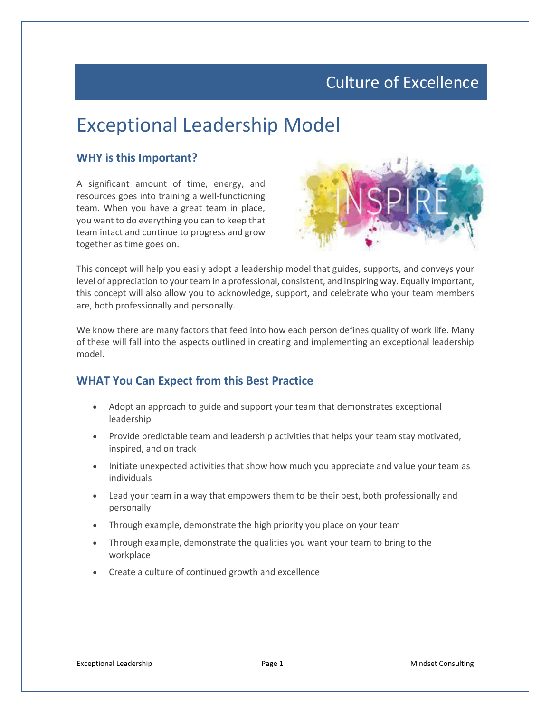### Culture of Excellence

# Exceptional Leadership Model

#### **WHY is this Important?**

A significant amount of time, energy, and resources goes into training a well-functioning team. When you have a great team in place, you want to do everything you can to keep that team intact and continue to progress and grow together as time goes on.



This concept will help you easily adopt a leadership model that guides, supports, and conveys your level of appreciation to your team in a professional, consistent, and inspiring way. Equally important, this concept will also allow you to acknowledge, support, and celebrate who your team members are, both professionally and personally.

We know there are many factors that feed into how each person defines quality of work life. Many of these will fall into the aspects outlined in creating and implementing an exceptional leadership model.

#### **WHAT You Can Expect from this Best Practice**

- Adopt an approach to guide and support your team that demonstrates exceptional leadership
- Provide predictable team and leadership activities that helps your team stay motivated, inspired, and on track
- Initiate unexpected activities that show how much you appreciate and value your team as individuals
- Lead your team in a way that empowers them to be their best, both professionally and personally
- Through example, demonstrate the high priority you place on your team
- Through example, demonstrate the qualities you want your team to bring to the workplace
- Create a culture of continued growth and excellence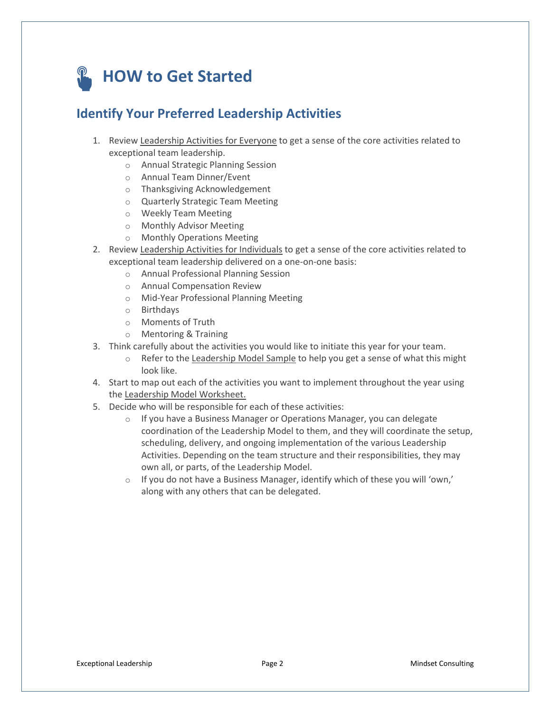# **HOW to Get Started**

### **Identify Your Preferred Leadership Activities**

- 1. Review Leadership Activities for Everyone to get a sense of the core activities related to exceptional team leadership.
	- o Annual Strategic Planning Session
	- o Annual Team Dinner/Event
	- o Thanksgiving Acknowledgement
	- o Quarterly Strategic Team Meeting
	- o Weekly Team Meeting
	- o Monthly Advisor Meeting
	- o Monthly Operations Meeting
- 2. Review Leadership Activities for Individuals to get a sense of the core activities related to exceptional team leadership delivered on a one-on-one basis:
	- o Annual Professional Planning Session
	- o Annual Compensation Review
	- o Mid-Year Professional Planning Meeting
	- o Birthdays
	- o Moments of Truth
	- o Mentoring & Training
- 3. Think carefully about the activities you would like to initiate this year for your team.
	- $\circ$  Refer to the Leadership Model Sample to help you get a sense of what this might look like.
- 4. Start to map out each of the activities you want to implement throughout the year using the Leadership Model Worksheet.
- 5. Decide who will be responsible for each of these activities:
	- o If you have a Business Manager or Operations Manager, you can delegate coordination of the Leadership Model to them, and they will coordinate the setup, scheduling, delivery, and ongoing implementation of the various Leadership Activities. Depending on the team structure and their responsibilities, they may own all, or parts, of the Leadership Model.
	- $\circ$  If you do not have a Business Manager, identify which of these you will 'own,' along with any others that can be delegated.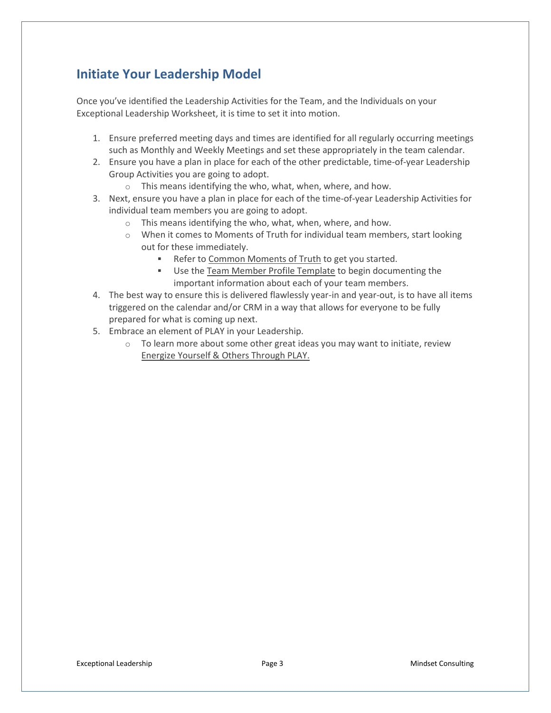#### **Initiate Your Leadership Model**

Once you've identified the Leadership Activities for the Team, and the Individuals on your Exceptional Leadership Worksheet, it is time to set it into motion.

- 1. Ensure preferred meeting days and times are identified for all regularly occurring meetings such as Monthly and Weekly Meetings and set these appropriately in the team calendar.
- 2. Ensure you have a plan in place for each of the other predictable, time-of-year Leadership Group Activities you are going to adopt.
	- o This means identifying the who, what, when, where, and how.
- 3. Next, ensure you have a plan in place for each of the time-of-year Leadership Activities for individual team members you are going to adopt.
	- o This means identifying the who, what, when, where, and how.
	- $\circ$  When it comes to Moments of Truth for individual team members, start looking out for these immediately.
		- Refer to Common Moments of Truth to get you started.
		- **■** Use the Team Member Profile Template to begin documenting the important information about each of your team members.
- 4. The best way to ensure this is delivered flawlessly year-in and year-out, is to have all items triggered on the calendar and/or CRM in a way that allows for everyone to be fully prepared for what is coming up next.
- 5. Embrace an element of PLAY in your Leadership.
	- o To learn more about some other great ideas you may want to initiate, review Energize Yourself & Others Through PLAY.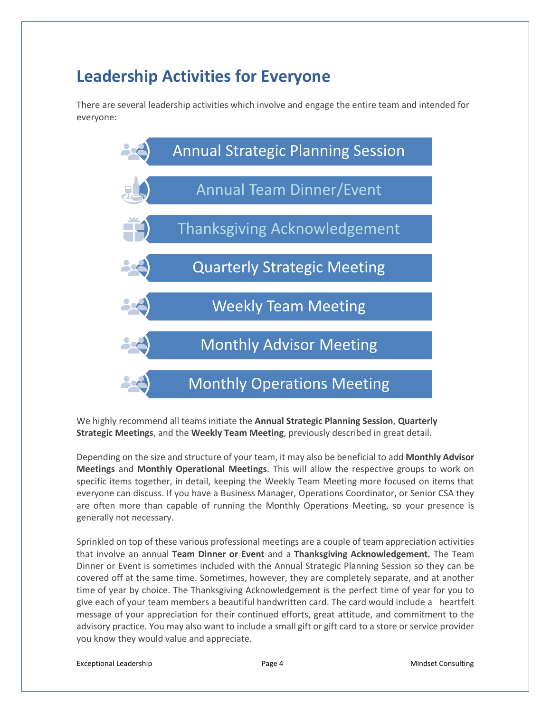### **Leadership Activities for Everyone**

There are several leadership activities which involve and engage the entire team and intended for everyone:



We highly recommend all teams initiate the **Annual Strategic Planning Session**, **Quarterly Strategic Meetings**, and the **Weekly Team Meeting**, previously described in great detail.

Depending on the size and structure of your team, it may also be beneficial to add **Monthly Advisor Meetings** and **Monthly Operational Meetings**. This will allow the respective groups to work on specific items together, in detail, keeping the Weekly Team Meeting more focused on items that everyone can discuss. If you have a Business Manager, Operations Coordinator, or Senior CSA they are often more than capable of running the Monthly Operations Meeting, so your presence is generally not necessary.

Sprinkled on top of these various professional meetings are a couple of team appreciation activities that involve an annual **Team Dinner or Event** and a **Thanksgiving Acknowledgement.** The Team Dinner or Event is sometimes included with the Annual Strategic Planning Session so they can be covered off at the same time. Sometimes, however, they are completely separate, and at another time of year by choice. The Thanksgiving Acknowledgement is the perfect time of year for you to give each of your team members a beautiful handwritten card. The card would include a heartfelt message of your appreciation for their continued efforts, great attitude, and commitment to the advisory practice. You may also want to include a small gift or gift card to a store or service provider you know they would value and appreciate.

Exceptional Leadership **Exceptional Leadership Page 4 Page 4 Mindset Consulting**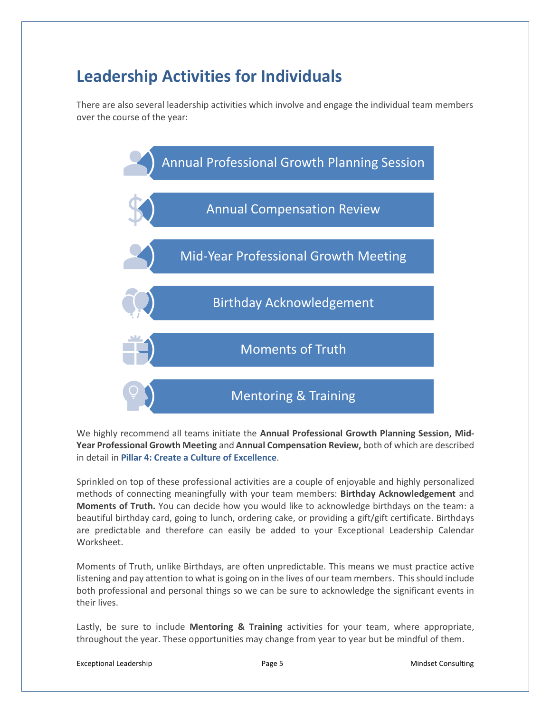### **Leadership Activities for Individuals**

There are also several leadership activities which involve and engage the individual team members over the course of the year:



We highly recommend all teams initiate the **Annual Professional Growth Planning Session, Mid-Year Professional Growth Meeting** and **Annual Compensation Review,** both of which are described in detail in **Pillar 4: Create a Culture of Excellence**.

Sprinkled on top of these professional activities are a couple of enjoyable and highly personalized methods of connecting meaningfully with your team members: **Birthday Acknowledgement** and **Moments of Truth.** You can decide how you would like to acknowledge birthdays on the team: a beautiful birthday card, going to lunch, ordering cake, or providing a gift/gift certificate. Birthdays are predictable and therefore can easily be added to your Exceptional Leadership Calendar Worksheet.

Moments of Truth, unlike Birthdays, are often unpredictable. This means we must practice active listening and pay attention to what is going on in the lives of our team members. This should include both professional and personal things so we can be sure to acknowledge the significant events in their lives.

Lastly, be sure to include **Mentoring & Training** activities for your team, where appropriate, throughout the year. These opportunities may change from year to year but be mindful of them.

Exceptional Leadership **Exceptional Leadership Page 5 Mindset Consulting**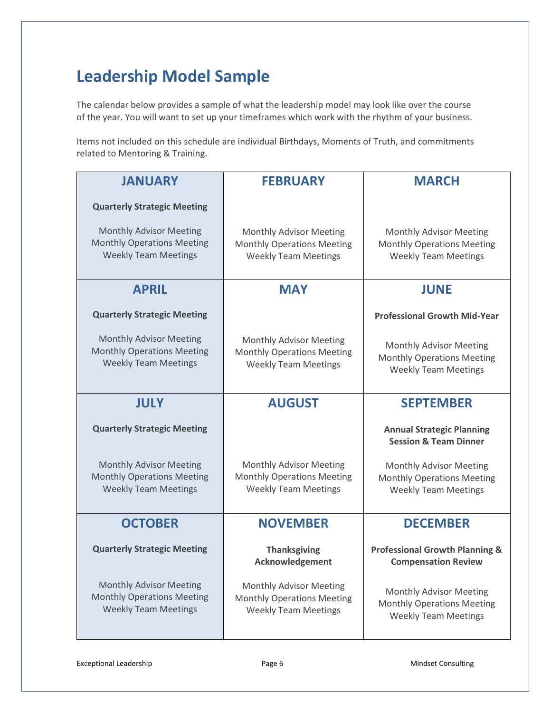### **Leadership Model Sample**

The calendar below provides a sample of what the leadership model may look like over the course of the year. You will want to set up your timeframes which work with the rhythm of your business.

Items not included on this schedule are individual Birthdays, Moments of Truth, and commitments related to Mentoring & Training.

| <b>JANUARY</b>                                                                                     | <b>FEBRUARY</b>                                                                                    | <b>MARCH</b>                                                                                |
|----------------------------------------------------------------------------------------------------|----------------------------------------------------------------------------------------------------|---------------------------------------------------------------------------------------------|
| <b>Quarterly Strategic Meeting</b>                                                                 |                                                                                                    |                                                                                             |
| <b>Monthly Advisor Meeting</b><br><b>Monthly Operations Meeting</b><br><b>Weekly Team Meetings</b> | Monthly Advisor Meeting<br><b>Monthly Operations Meeting</b><br><b>Weekly Team Meetings</b>        | Monthly Advisor Meeting<br><b>Monthly Operations Meeting</b><br><b>Weekly Team Meetings</b> |
| <b>APRIL</b>                                                                                       | <b>MAY</b>                                                                                         | <b>JUNE</b>                                                                                 |
| <b>Quarterly Strategic Meeting</b>                                                                 |                                                                                                    | <b>Professional Growth Mid-Year</b>                                                         |
| <b>Monthly Advisor Meeting</b><br><b>Monthly Operations Meeting</b><br><b>Weekly Team Meetings</b> | <b>Monthly Advisor Meeting</b><br><b>Monthly Operations Meeting</b><br><b>Weekly Team Meetings</b> | Monthly Advisor Meeting<br><b>Monthly Operations Meeting</b><br><b>Weekly Team Meetings</b> |
| <b>JULY</b>                                                                                        | <b>AUGUST</b>                                                                                      | <b>SEPTEMBER</b>                                                                            |
| <b>Quarterly Strategic Meeting</b>                                                                 |                                                                                                    | <b>Annual Strategic Planning</b><br><b>Session &amp; Team Dinner</b>                        |
| <b>Monthly Advisor Meeting</b><br><b>Monthly Operations Meeting</b><br><b>Weekly Team Meetings</b> | Monthly Advisor Meeting<br><b>Monthly Operations Meeting</b><br><b>Weekly Team Meetings</b>        | Monthly Advisor Meeting<br><b>Monthly Operations Meeting</b><br><b>Weekly Team Meetings</b> |
| <b>OCTOBER</b>                                                                                     | <b>NOVEMBER</b>                                                                                    | <b>DECEMBER</b>                                                                             |
| <b>Quarterly Strategic Meeting</b>                                                                 | <b>Thanksgiving</b><br>Acknowledgement                                                             | <b>Professional Growth Planning &amp;</b><br><b>Compensation Review</b>                     |
| <b>Monthly Advisor Meeting</b><br><b>Monthly Operations Meeting</b><br><b>Weekly Team Meetings</b> | Monthly Advisor Meeting<br><b>Monthly Operations Meeting</b><br><b>Weekly Team Meetings</b>        | Monthly Advisor Meeting<br><b>Monthly Operations Meeting</b><br><b>Weekly Team Meetings</b> |

Exceptional Leadership **Exceptional Leadership Page 6** Mindset Consulting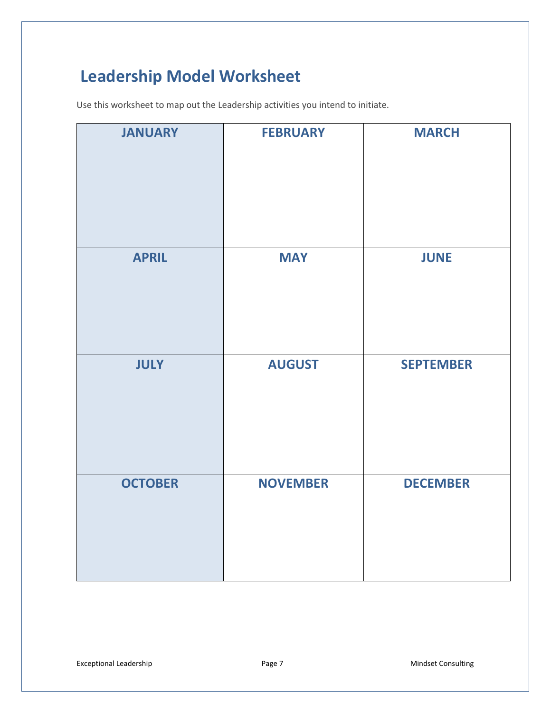## **Leadership Model Worksheet**

Use this worksheet to map out the Leadership activities you intend to initiate.

| <b>JANUARY</b> | <b>FEBRUARY</b> | <b>MARCH</b>     |
|----------------|-----------------|------------------|
| <b>APRIL</b>   | <b>MAY</b>      | <b>JUNE</b>      |
| <b>JULY</b>    | <b>AUGUST</b>   | <b>SEPTEMBER</b> |
| <b>OCTOBER</b> | <b>NOVEMBER</b> | <b>DECEMBER</b>  |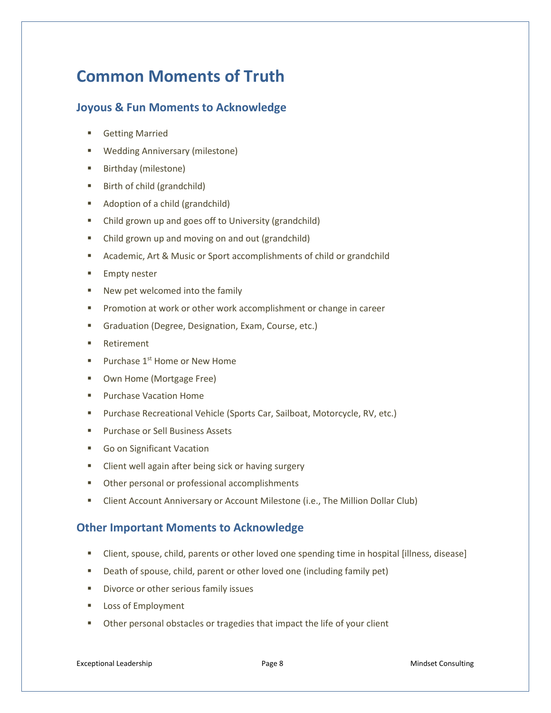### **Common Moments of Truth**

#### **Joyous & Fun Moments to Acknowledge**

- **Getting Married**
- Wedding Anniversary (milestone)
- Birthday (milestone)
- Birth of child (grandchild)
- Adoption of a child (grandchild)
- Child grown up and goes off to University (grandchild)
- Child grown up and moving on and out (grandchild)
- Academic, Art & Music or Sport accomplishments of child or grandchild
- **Empty nester**
- New pet welcomed into the family
- Promotion at work or other work accomplishment or change in career
- Graduation (Degree, Designation, Exam, Course, etc.)
- Retirement
- **Purchase 1st Home or New Home**
- Own Home (Mortgage Free)
- Purchase Vacation Home
- Purchase Recreational Vehicle (Sports Car, Sailboat, Motorcycle, RV, etc.)
- Purchase or Sell Business Assets
- Go on Significant Vacation
- Client well again after being sick or having surgery
- Other personal or professional accomplishments
- **E** Client Account Anniversary or Account Milestone (i.e., The Million Dollar Club)

#### **Other Important Moments to Acknowledge**

- Client, spouse, child, parents or other loved one spending time in hospital [illness, disease]
- Death of spouse, child, parent or other loved one (including family pet)
- Divorce or other serious family issues
- Loss of Employment
- Other personal obstacles or tragedies that impact the life of your client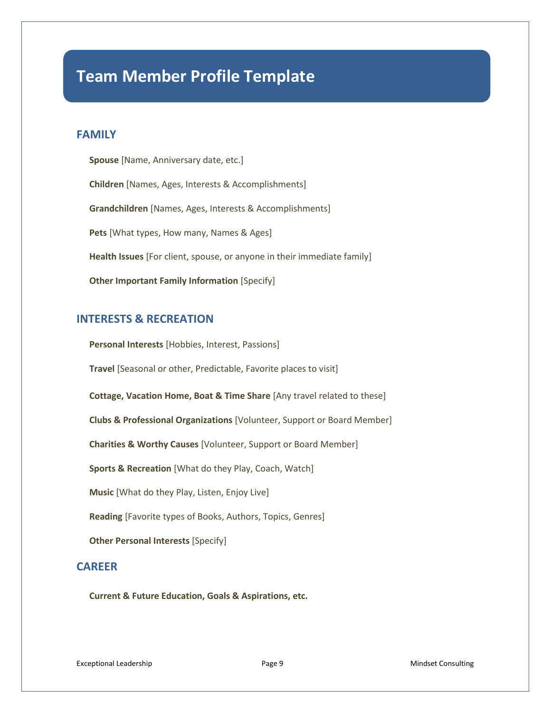### **Team Member Profile Template**

#### **FAMILY**

**Spouse** [Name, Anniversary date, etc.] **Children** [Names, Ages, Interests & Accomplishments] **Grandchildren** [Names, Ages, Interests & Accomplishments] **Pets** [What types, How many, Names & Ages] **Health Issues** [For client, spouse, or anyone in their immediate family] **Other Important Family Information [Specify]** 

#### **INTERESTS & RECREATION**

**Personal Interests** [Hobbies, Interest, Passions] **Travel** [Seasonal or other, Predictable, Favorite places to visit] **Cottage, Vacation Home, Boat & Time Share** [Any travel related to these] **Clubs & Professional Organizations** [Volunteer, Support or Board Member] **Charities & Worthy Causes** [Volunteer, Support or Board Member] **Sports & Recreation** [What do they Play, Coach, Watch] **Music** [What do they Play, Listen, Enjoy Live] **Reading** [Favorite types of Books, Authors, Topics, Genres] **Other Personal Interests [Specify]** 

#### **CAREER**

**Current & Future Education, Goals & Aspirations, etc.** 

Exceptional Leadership **Exceptional Leadership Page 9 Mindset Consulting**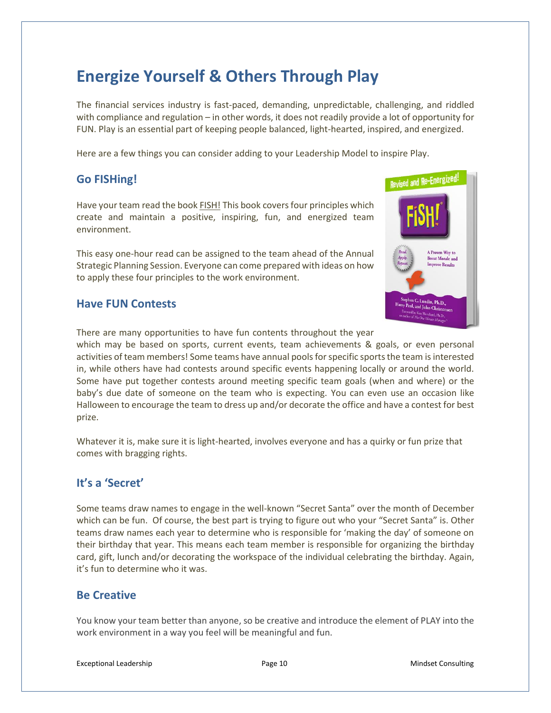### **Energize Yourself & Others Through Play**

The financial services industry is fast-paced, demanding, unpredictable, challenging, and riddled with compliance and regulation – in other words, it does not readily provide a lot of opportunity for FUN. Play is an essential part of keeping people balanced, light-hearted, inspired, and energized.

Here are a few things you can consider adding to your Leadership Model to inspire Play.

#### **Go FISHing!**

Have your team read the book FISH! This book covers four principles which create and maintain a positive, inspiring, fun, and energized team environment.

This easy one-hour read can be assigned to the team ahead of the Annual Strategic Planning Session. Everyone can come prepared with ideas on how to apply these four principles to the work environment.

# Revised and Re-Energized! A Proven Way to **Boost Morale and Improve Results**  $\overline{P_{\text{L}}P_{\text{L}}P_{\text{L}}P_{\text{L}}P_{\text{L}}P_{\text{L}}P_{\text{L}}P_{\text{L}}P_{\text{L}}P_{\text{L}}P_{\text{L}}P_{\text{L}}P_{\text{L}}P_{\text{L}}P_{\text{L}}P_{\text{L}}P_{\text{L}}P_{\text{L}}P_{\text{L}}P_{\text{L}}P_{\text{L}}P_{\text{L}}P_{\text{L}}P_{\text{L}}P_{\text{L}}P_{\text{L}}P_{\text{L}}P_{\text{L}}P_{\text{L}}P_{\text{L}}P_{\text{L$ rry Paul, and John Christensen

#### **Have FUN Contests**

There are many opportunities to have fun contents throughout the year

which may be based on sports, current events, team achievements & goals, or even personal activities of team members! Some teams have annual pools for specific sports the team is interested in, while others have had contests around specific events happening locally or around the world. Some have put together contests around meeting specific team goals (when and where) or the baby's due date of someone on the team who is expecting. You can even use an occasion like Halloween to encourage the team to dress up and/or decorate the office and have a contest for best prize.

Whatever it is, make sure it is light-hearted, involves everyone and has a quirky or fun prize that comes with bragging rights.

#### **It's a 'Secret'**

Some teams draw names to engage in the well-known "Secret Santa" over the month of December which can be fun. Of course, the best part is trying to figure out who your "Secret Santa" is. Other teams draw names each year to determine who is responsible for 'making the day' of someone on their birthday that year. This means each team member is responsible for organizing the birthday card, gift, lunch and/or decorating the workspace of the individual celebrating the birthday. Again, it's fun to determine who it was.

#### **Be Creative**

You know your team better than anyone, so be creative and introduce the element of PLAY into the work environment in a way you feel will be meaningful and fun.

Exceptional Leadership **Page 10** Page 10 Mindset Consulting Page 10